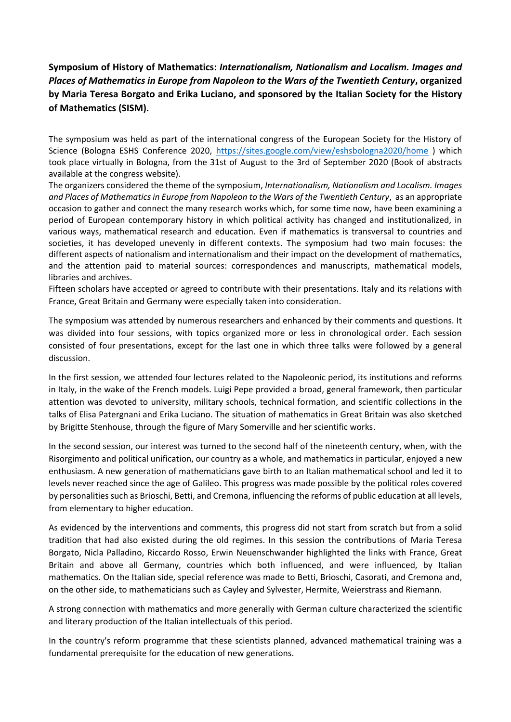**Symposium of History of Mathematics:** *Internationalism, Nationalism and Localism. Images and Places of Mathematics in Europe from Napoleon to the Wars of the Twentieth Century***, organized by Maria Teresa Borgato and Erika Luciano, and sponsored by the Italian Society for the History of Mathematics (SISM).** 

The symposium was held as part of the international congress of the European Society for the History of Science (Bologna ESHS Conference 2020, <https://sites.google.com/view/eshsbologna2020/home> ) which took place virtually in Bologna, from the 31st of August to the 3rd of September 2020 (Book of abstracts available at the congress website).

The organizers considered the theme of the symposium, *Internationalism, Nationalism and Localism. Images and Places of Mathematics in Europe from Napoleon to the Wars of the Twentieth Century*, as an appropriate occasion to gather and connect the many research works which, for some time now, have been examining a period of European contemporary history in which political activity has changed and institutionalized, in various ways, mathematical research and education. Even if mathematics is transversal to countries and societies, it has developed unevenly in different contexts. The symposium had two main focuses: the different aspects of nationalism and internationalism and their impact on the development of mathematics, and the attention paid to material sources: correspondences and manuscripts, mathematical models, libraries and archives.

Fifteen scholars have accepted or agreed to contribute with their presentations. Italy and its relations with France, Great Britain and Germany were especially taken into consideration.

The symposium was attended by numerous researchers and enhanced by their comments and questions. It was divided into four sessions, with topics organized more or less in chronological order. Each session consisted of four presentations, except for the last one in which three talks were followed by a general discussion.

In the first session, we attended four lectures related to the Napoleonic period, its institutions and reforms in Italy, in the wake of the French models. Luigi Pepe provided a broad, general framework, then particular attention was devoted to university, military schools, technical formation, and scientific collections in the talks of Elisa Patergnani and Erika Luciano. The situation of mathematics in Great Britain was also sketched by Brigitte Stenhouse, through the figure of Mary Somerville and her scientific works.

In the second session, our interest was turned to the second half of the nineteenth century, when, with the Risorgimento and political unification, our country as a whole, and mathematics in particular, enjoyed a new enthusiasm. A new generation of mathematicians gave birth to an Italian mathematical school and led it to levels never reached since the age of Galileo. This progress was made possible by the political roles covered by personalities such as Brioschi, Betti, and Cremona, influencing the reforms of public education at all levels, from elementary to higher education.

As evidenced by the interventions and comments, this progress did not start from scratch but from a solid tradition that had also existed during the old regimes. In this session the contributions of Maria Teresa Borgato, Nicla Palladino, Riccardo Rosso, Erwin Neuenschwander highlighted the links with France, Great Britain and above all Germany, countries which both influenced, and were influenced, by Italian mathematics. On the Italian side, special reference was made to Betti, Brioschi, Casorati, and Cremona and, on the other side, to mathematicians such as Cayley and Sylvester, Hermite, Weierstrass and Riemann.

A strong connection with mathematics and more generally with German culture characterized the scientific and literary production of the Italian intellectuals of this period.

In the country's reform programme that these scientists planned, advanced mathematical training was a fundamental prerequisite for the education of new generations.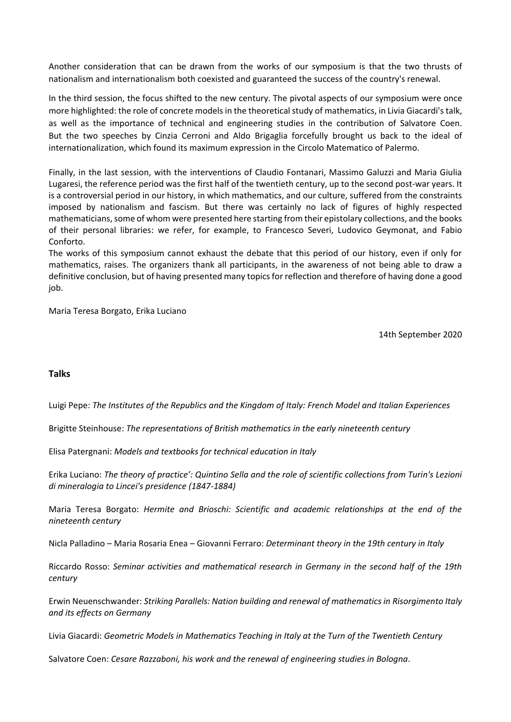Another consideration that can be drawn from the works of our symposium is that the two thrusts of nationalism and internationalism both coexisted and guaranteed the success of the country's renewal.

In the third session, the focus shifted to the new century. The pivotal aspects of our symposium were once more highlighted: the role of concrete models in the theoretical study of mathematics, in Livia Giacardi's talk, as well as the importance of technical and engineering studies in the contribution of Salvatore Coen. But the two speeches by Cinzia Cerroni and Aldo Brigaglia forcefully brought us back to the ideal of internationalization, which found its maximum expression in the Circolo Matematico of Palermo.

Finally, in the last session, with the interventions of Claudio Fontanari, Massimo Galuzzi and Maria Giulia Lugaresi, the reference period was the first half of the twentieth century, up to the second post-war years. It is a controversial period in our history, in which mathematics, and our culture, suffered from the constraints imposed by nationalism and fascism. But there was certainly no lack of figures of highly respected mathematicians, some of whom were presented here starting from their epistolary collections, and the books of their personal libraries: we refer, for example, to Francesco Severi, Ludovico Geymonat, and Fabio Conforto.

The works of this symposium cannot exhaust the debate that this period of our history, even if only for mathematics, raises. The organizers thank all participants, in the awareness of not being able to draw a definitive conclusion, but of having presented many topics for reflection and therefore of having done a good job.

Maria Teresa Borgato, Erika Luciano

14th September 2020

## **Talks**

Luigi Pepe: *The Institutes of the Republics and the Kingdom of Italy: French Model and Italian Experiences*

Brigitte Steinhouse: *The representations of British mathematics in the early nineteenth century*

Elisa Patergnani: *Models and textbooks for technical education in Italy*

Erika Luciano: *The theory of practice': Quintino Sella and the role of scientific collections from Turin's Lezioni di mineralogia to Lincei's presidence (1847-1884)*

Maria Teresa Borgato: *Hermite and Brioschi: Scientific and academic relationships at the end of the nineteenth century*

Nicla Palladino – Maria Rosaria Enea – Giovanni Ferraro: *Determinant theory in the 19th century in Italy*

Riccardo Rosso: *Seminar activities and mathematical research in Germany in the second half of the 19th century*

Erwin Neuenschwander: *Striking Parallels: Nation building and renewal of mathematics in Risorgimento Italy and its effects on Germany*

Livia Giacardi: *Geometric Models in Mathematics Teaching in Italy at the Turn of the Twentieth Century*

Salvatore Coen: *Cesare Razzaboni, his work and the renewal of engineering studies in Bologna*.